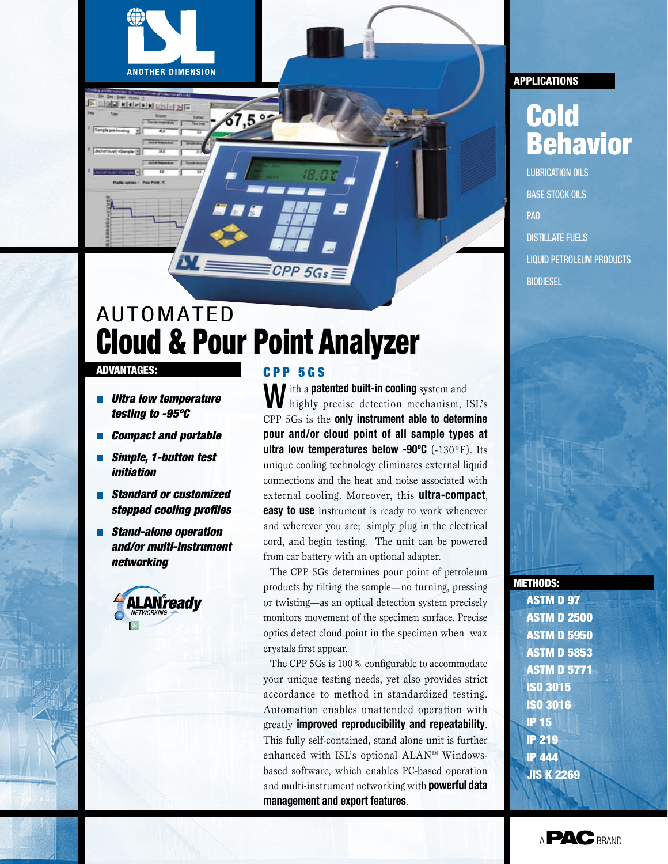

 $7,5°$ 

# advantages:

 *Ultra low temperature testing to -95ºC*

**ANOTHER DIMENSION**

7 Y

**SOR HELL** 

- *Compact and portable*
- *Simple, 1-button test initiation*
- *Standard or customized stepped cooling profiles*
- *Stand-alone operation and/or multi-instrument networking*



### C P P 5 G s

CPP 5Gs

**M** ith a **patented built-in cooling** system and highly precise detection mechanism, ISL's CPP 5Gs is the **only instrument able to determine pour and/or cloud point of all sample types at ultra low temperatures below -90ºC** (-130ºF). Its unique cooling technology eliminates external liquid connections and the heat and noise associated with external cooling. Moreover, this **ultra-compact**, **easy to use** instrument is ready to work whenever and wherever you are; simply plug in the electrical cord, and begin testing. The unit can be powered from car battery with an optional adapter.

The CPP 5Gs determines pour point of petroleum products by tilting the sample—no turning, pressing or twisting—as an optical detection system precisely monitors movement of the specimen surface. Precise optics detect cloud point in the specimen when wax crystals first appear.

The CPP 5Gs is 100% configurable to accommodate your unique testing needs, yet also provides strict accordance to method in standardized testing. Automation enables unattended operation with greatly **improved reproducibility and repeatability**. This fully self-contained, stand alone unit is further enhanced with ISL's optional ALAN™ Windowsbased software, which enables PC-based operation and multi-instrument networking with **powerful data management and export features**.

# **APPLICATIONS**

# Cold Behavior

LUbrication oils Base stock oils PAO Distillate fuels Liquid petroleum products **BIODIESEL** 



ASTM D 97 ASTM D 2500 ASTM D 5950 ASTM D 5853 ASTM D 5771 ISO 3015 ISO 3016 IP 15 IP 219 IP 444 JIS K 2269